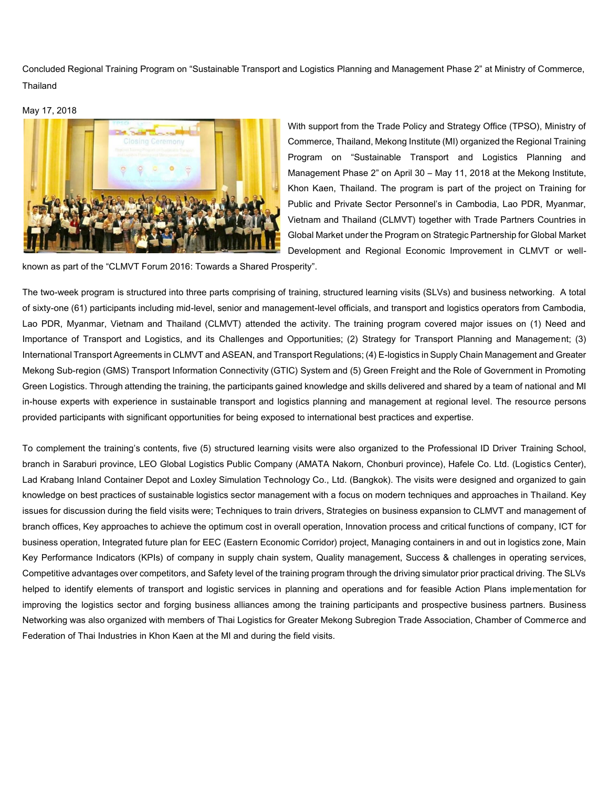Concluded Regional Training Program on "Sustainable Transport and Logistics Planning and Management Phase 2" at Ministry of Commerce, **Thailand** 

May 17, 2018



With support from the Trade Policy and Strategy Office (TPSO), Ministry of Commerce, Thailand, Mekong Institute (MI) organized the Regional Training Program on "Sustainable Transport and Logistics Planning and Management Phase 2" on April 30 – May 11, 2018 at the Mekong Institute, Khon Kaen, Thailand. The program is part of the project on Training for Public and Private Sector Personnel's in Cambodia, Lao PDR, Myanmar, Vietnam and Thailand (CLMVT) together with Trade Partners Countries in Global Market under the Program on Strategic Partnership for Global Market Development and Regional Economic Improvement in CLMVT or well-

known as part of the "CLMVT Forum 2016: Towards a Shared Prosperity".

The two-week program is structured into three parts comprising of training, structured learning visits (SLVs) and business networking. A total of sixty-one (61) participants including mid-level, senior and management-level officials, and transport and logistics operators from Cambodia, Lao PDR, Myanmar, Vietnam and Thailand (CLMVT) attended the activity. The training program covered major issues on (1) Need and Importance of Transport and Logistics, and its Challenges and Opportunities; (2) Strategy for Transport Planning and Management; (3) International Transport Agreements in CLMVT and ASEAN, and Transport Regulations; (4) E-logistics in Supply Chain Management and Greater Mekong Sub-region (GMS) Transport Information Connectivity (GTIC) System and (5) Green Freight and the Role of Government in Promoting Green Logistics. Through attending the training, the participants gained knowledge and skills delivered and shared by a team of national and MI in-house experts with experience in sustainable transport and logistics planning and management at regional level. The resource persons provided participants with significant opportunities for being exposed to international best practices and expertise.

To complement the training's contents, five (5) structured learning visits were also organized to the Professional ID Driver Training School, branch in Saraburi province, LEO Global Logistics Public Company (AMATA Nakorn, Chonburi province), Hafele Co. Ltd. (Logistics Center), Lad Krabang Inland Container Depot and Loxley Simulation Technology Co., Ltd. (Bangkok). The visits were designed and organized to gain knowledge on best practices of sustainable logistics sector management with a focus on modern techniques and approaches in Thailand. Key issues for discussion during the field visits were; Techniques to train drivers, Strategies on business expansion to CLMVT and management of branch offices, Key approaches to achieve the optimum cost in overall operation, Innovation process and critical functions of company, ICT for business operation, Integrated future plan for EEC (Eastern Economic Corridor) project, Managing containers in and out in logistics zone, Main Key Performance Indicators (KPIs) of company in supply chain system, Quality management, Success & challenges in operating services, Competitive advantages over competitors, and Safety level of the training program through the driving simulator prior practical driving. The SLVs helped to identify elements of transport and logistic services in planning and operations and for feasible Action Plans implementation for improving the logistics sector and forging business alliances among the training participants and prospective business partners. Business Networking was also organized with members of Thai Logistics for Greater Mekong Subregion Trade Association, Chamber of Commerce and Federation of Thai Industries in Khon Kaen at the MI and during the field visits.